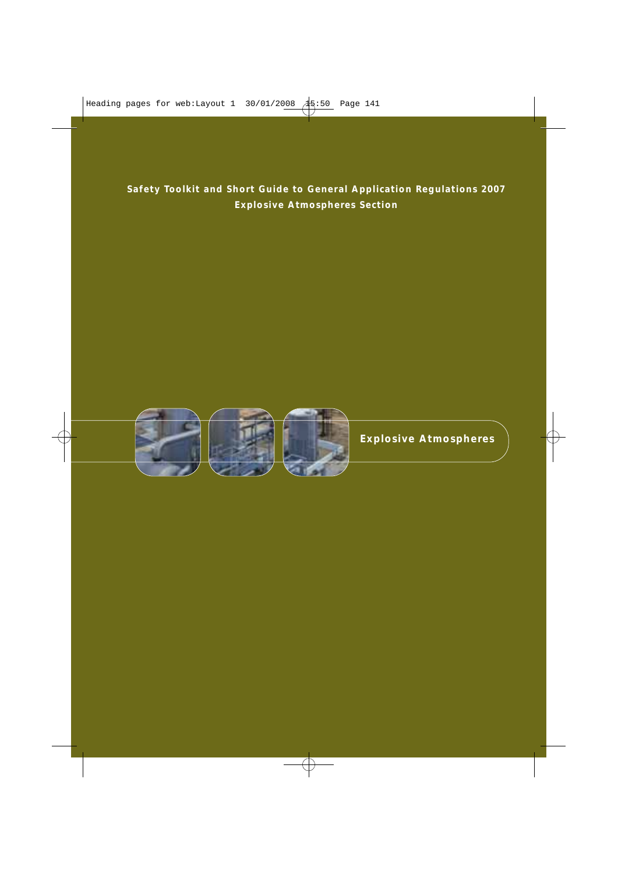### **Safety Toolkit and Short Guide to General Application Regulations 2007 Explosive Atmospheres Section**



**Explosive Atmospheres**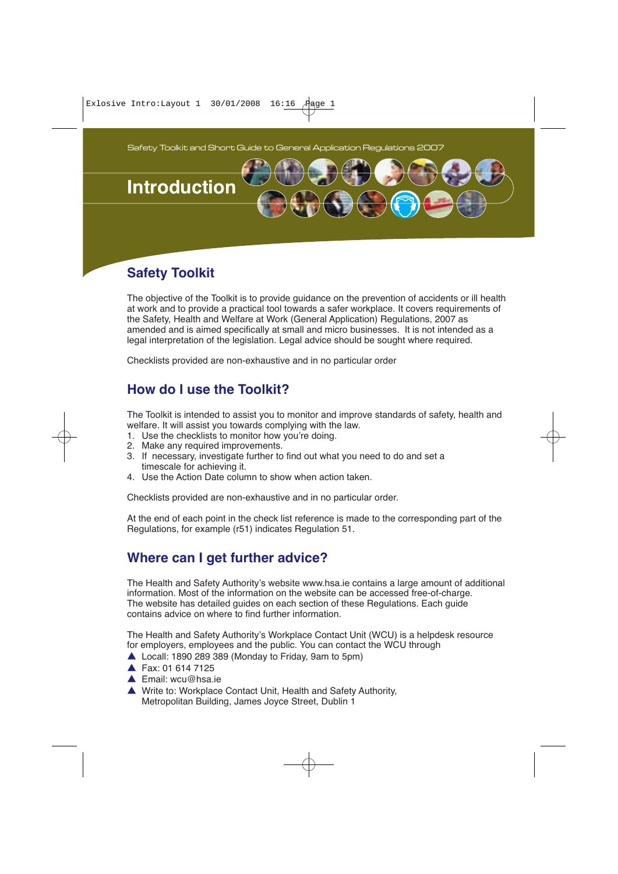Safety Toolkit and Short Guide to General Application Regulations 2007



## **Safety Toolkit**

The objective of the Toolkit is to provide guidance on the prevention of accidents or ill health at work and to provide a practical tool towards a safer workplace. It covers requirements of the Safety, Health and Welfare at Work (General Application) Regulations, 2007 as amended and is aimed specifically at small and micro businesses. It is not intended as a legal interpretation of the legislation. Legal advice should be sought where required.

Checklists provided are non-exhaustive and in no particular order

## **How do I use the Toolkit?**

The Toolkit is intended to assist you to monitor and improve standards of safety, health and welfare. It will assist you towards complying with the law.

- 1. Use the checklists to monitor how you're doing.
- 2. Make any required improvements.
- 3. If necessary, investigate further to find out what you need to do and set a timescale for achieving it.
- 4. Use the Action Date column to show when action taken.

Checklists provided are non-exhaustive and in no particular order.

At the end of each point in the check list reference is made to the corresponding part of the Regulations, for example (r51) indicates Regulation 51.

## **Where can I get further advice?**

The Health and Safety Authority's website www.hsa.ie contains a large amount of additional information. Most of the information on the website can be accessed free-of-charge. The website has detailed guides on each section of these Regulations. Each guide contains advice on where to find further information.

The Health and Safety Authority's Workplace Contact Unit (WCU) is a helpdesk resource for employers, employees and the public. You can contact the WCU through

- ▲ Locall: 1890 289 389 (Monday to Friday, 9am to 5pm)
- ▲ Fax: 01 614 7125
- ▲ Email: wcu@hsa.ie
- ▲ Write to: Workplace Contact Unit, Health and Safety Authority, Metropolitan Building, James Joyce Street, Dublin 1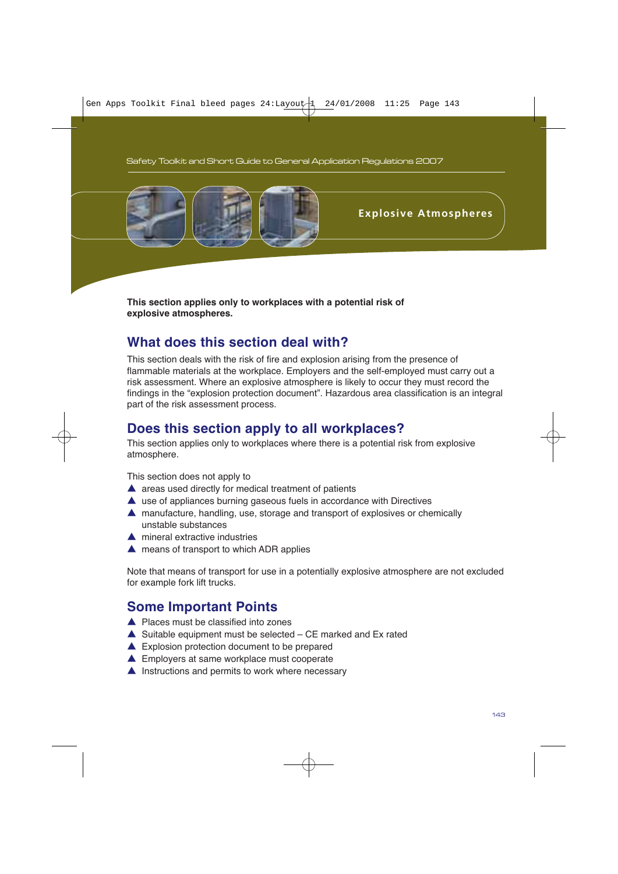

#### **Explosive Atmospheres**

**This section applies only to workplaces with a potential risk of explosive atmospheres.**

## **What does this section deal with?**

This section deals with the risk of fire and explosion arising from the presence of flammable materials at the workplace. Employers and the self-employed must carry out a risk assessment. Where an explosive atmosphere is likely to occur they must record the findings in the "explosion protection document". Hazardous area classification is an integral part of the risk assessment process.

## **Does this section apply to all workplaces?**

This section applies only to workplaces where there is a potential risk from explosive atmosphere.

This section does not apply to

- $\triangle$  areas used directly for medical treatment of patients
- $\triangle$  use of appliances burning gaseous fuels in accordance with Directives
- ▲ manufacture, handling, use, storage and transport of explosives or chemically unstable substances
- ▲ mineral extractive industries
- $\triangle$  means of transport to which ADR applies

Note that means of transport for use in a potentially explosive atmosphere are not excluded for example fork lift trucks.

## **Some Important Points**

- ▲ Places must be classified into zones
- $\triangle$  Suitable equipment must be selected CE marked and Ex rated
- ▲ Explosion protection document to be prepared
- ▲ Employers at same workplace must cooperate
- $\triangle$  Instructions and permits to work where necessary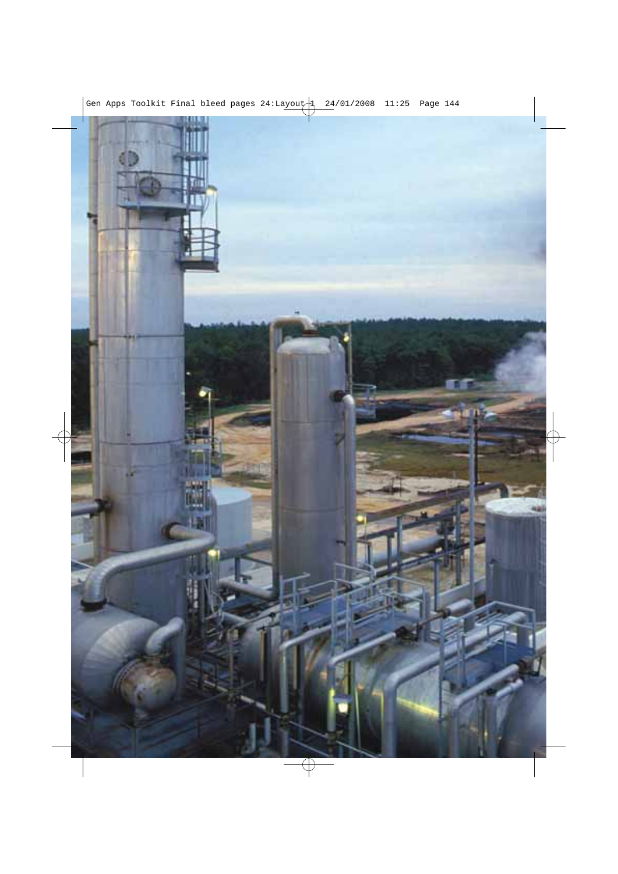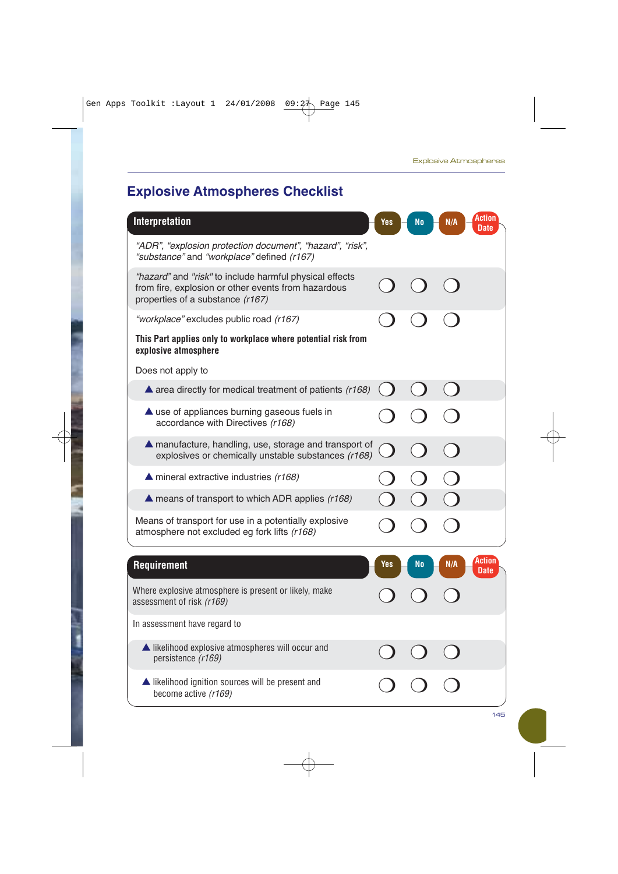# **Explosive Atmospheres Checklist**

| Interpretation                                                                                                                                     | <b>Yes</b> | N <sub>0</sub> | N/A | Action<br>Date |
|----------------------------------------------------------------------------------------------------------------------------------------------------|------------|----------------|-----|----------------|
| "ADR", "explosion protection document", "hazard", "risk",<br>"substance" and "workplace" defined (r167)                                            |            |                |     |                |
| "hazard" and "risk" to include harmful physical effects<br>from fire, explosion or other events from hazardous<br>properties of a substance (r167) |            |                |     |                |
| "workplace" excludes public road (r167)                                                                                                            |            |                |     |                |
| This Part applies only to workplace where potential risk from<br>explosive atmosphere                                                              |            |                |     |                |
| Does not apply to                                                                                                                                  |            |                |     |                |
| $\triangle$ area directly for medical treatment of patients (r168)                                                                                 |            |                |     |                |
| $\triangle$ use of appliances burning gaseous fuels in<br>accordance with Directives (r168)                                                        |            |                |     |                |
| ▲ manufacture, handling, use, storage and transport of<br>explosives or chemically unstable substances (r168)                                      |            |                |     |                |
| $\blacktriangle$ mineral extractive industries (r168)                                                                                              |            |                |     |                |
| $\triangle$ means of transport to which ADR applies (r168)                                                                                         |            |                |     |                |
| Means of transport for use in a potentially explosive<br>atmosphere not excluded eg fork lifts (r168)                                              |            |                |     |                |
| Requirement                                                                                                                                        | Yes        | <b>No</b>      | N/A | Action         |
|                                                                                                                                                    |            |                |     | Date           |
| Where explosive atmosphere is present or likely, make<br>assessment of risk (r169)                                                                 |            |                |     |                |
| In assessment have regard to                                                                                                                       |            |                |     |                |
| ▲ likelihood explosive atmospheres will occur and<br>persistence (r169)                                                                            |            |                |     |                |
| likelihood ignition sources will be present and<br>become active (r169)                                                                            |            |                |     |                |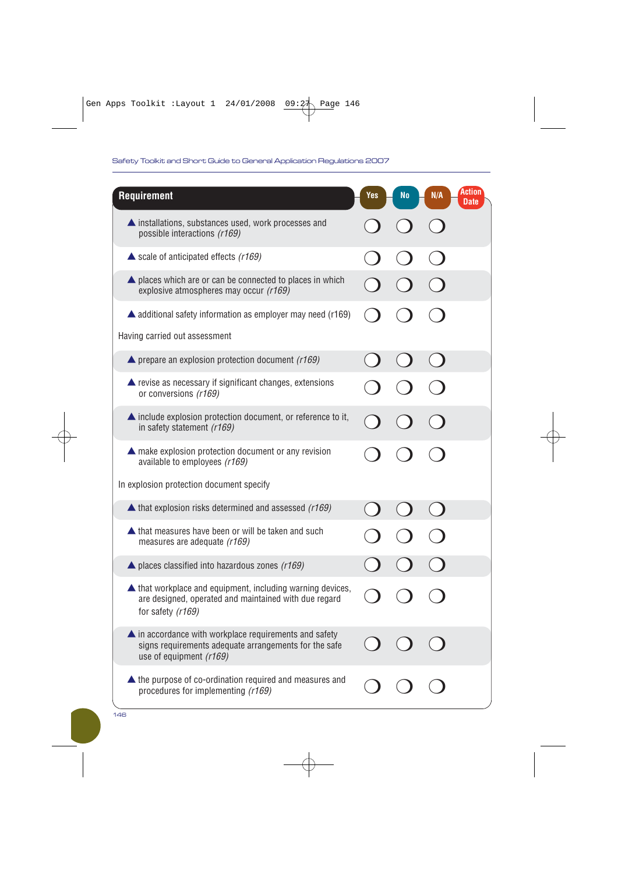| <b>Requirement</b>                                                                                                                                        | Yes | No | N/A | Action<br>Date |
|-----------------------------------------------------------------------------------------------------------------------------------------------------------|-----|----|-----|----------------|
| ▲ installations, substances used, work processes and<br>possible interactions (r169)                                                                      |     |    |     |                |
| $\triangle$ scale of anticipated effects (r169)                                                                                                           |     |    |     |                |
| ▲ places which are or can be connected to places in which<br>explosive atmospheres may occur (r169)                                                       |     |    |     |                |
| ▲ additional safety information as employer may need (r169)<br>Having carried out assessment                                                              |     |    |     |                |
| $\triangle$ prepare an explosion protection document (r169)                                                                                               |     |    |     |                |
| ▲ revise as necessary if significant changes, extensions<br>or conversions (r169)                                                                         |     |    |     |                |
| ▲ include explosion protection document, or reference to it,<br>in safety statement (r169)                                                                |     |    |     |                |
| ▲ make explosion protection document or any revision<br>available to employees (r169)                                                                     |     |    |     |                |
| In explosion protection document specify                                                                                                                  |     |    |     |                |
| $\triangle$ that explosion risks determined and assessed (r169)                                                                                           |     |    |     |                |
| $\blacktriangle$ that measures have been or will be taken and such<br>measures are adequate (r169)                                                        |     |    |     |                |
| $\triangle$ places classified into hazardous zones (r169)                                                                                                 |     |    |     |                |
| ▲ that workplace and equipment, including warning devices,<br>are designed, operated and maintained with due regard<br>for safety (r169)                  |     |    |     |                |
| $\blacktriangle$ in accordance with workplace requirements and safety<br>signs requirements adequate arrangements for the safe<br>use of equipment (r169) |     |    |     |                |
| $\triangle$ the purpose of co-ordination required and measures and<br>procedures for implementing (r169)                                                  |     |    |     |                |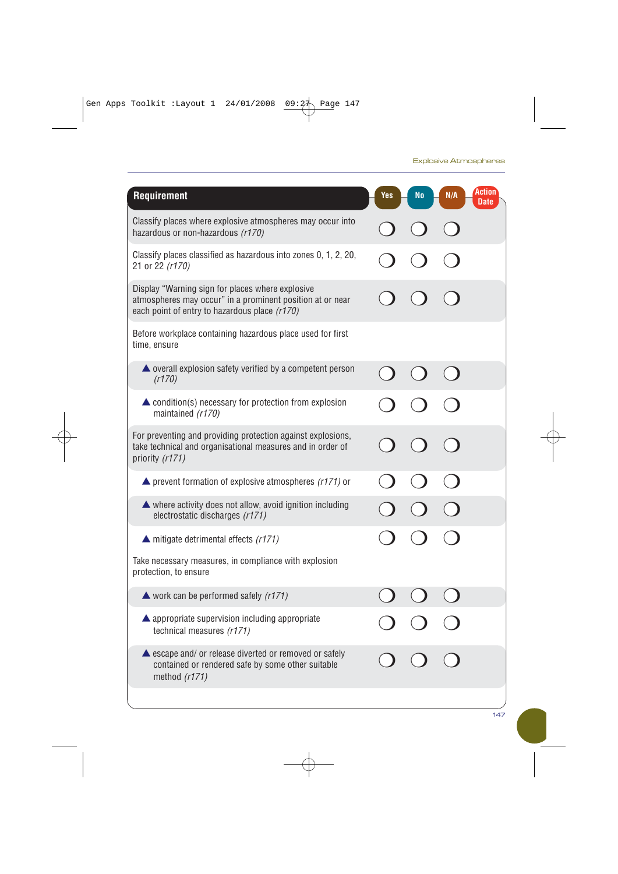| <b>Requirement</b>                                                                                                                                             | Yes | No | N/A | Action<br>Date |
|----------------------------------------------------------------------------------------------------------------------------------------------------------------|-----|----|-----|----------------|
| Classify places where explosive atmospheres may occur into<br>hazardous or non-hazardous (r170)                                                                |     |    |     |                |
| Classify places classified as hazardous into zones 0, 1, 2, 20,<br>21 or 22 (r170)                                                                             |     |    |     |                |
| Display "Warning sign for places where explosive<br>atmospheres may occur" in a prominent position at or near<br>each point of entry to hazardous place (r170) |     |    |     |                |
| Before workplace containing hazardous place used for first<br>time, ensure                                                                                     |     |    |     |                |
| ▲ overall explosion safety verified by a competent person<br>(r170)                                                                                            |     |    |     |                |
| $\triangle$ condition(s) necessary for protection from explosion<br>maintained (r170)                                                                          |     |    |     |                |
| For preventing and providing protection against explosions,<br>take technical and organisational measures and in order of<br>priority (r171)                   |     |    |     |                |
| $\triangle$ prevent formation of explosive atmospheres (r171) or                                                                                               |     |    |     |                |
| ▲ where activity does not allow, avoid ignition including<br>electrostatic discharges (r171)                                                                   |     |    |     |                |
| $\blacktriangle$ mitigate detrimental effects (r171)                                                                                                           |     |    |     |                |
| Take necessary measures, in compliance with explosion<br>protection, to ensure                                                                                 |     |    |     |                |
| $\triangle$ work can be performed safely (r171)                                                                                                                |     |    |     |                |
| ▲ appropriate supervision including appropriate<br>technical measures (r171)                                                                                   |     |    |     |                |
| ▲ escape and/ or release diverted or removed or safely<br>contained or rendered safe by some other suitable<br>method (r171)                                   |     |    |     |                |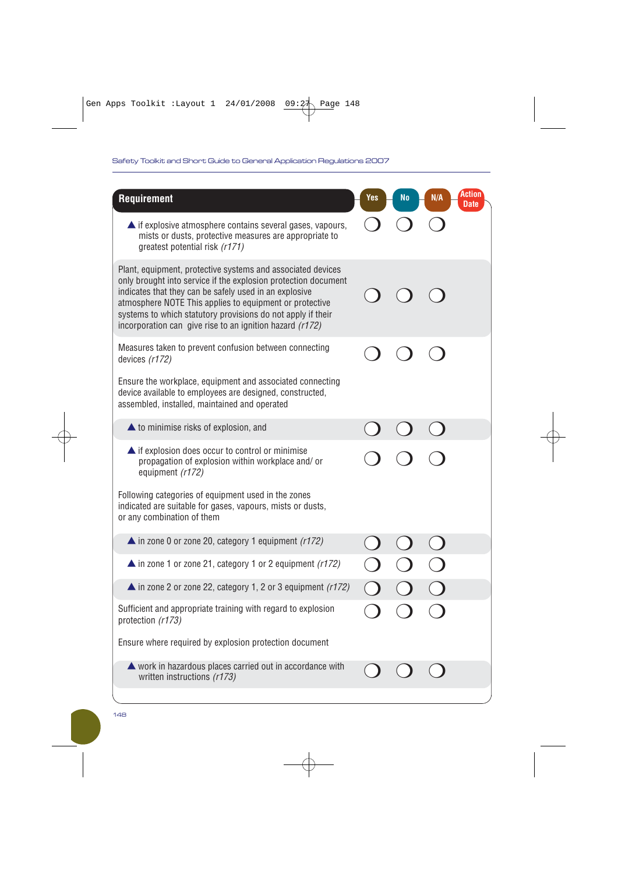| Requirement                                                                                                                                                                                                                                                                                                                                                                   | Yes | No | N/A | <b>Action</b><br>Date |
|-------------------------------------------------------------------------------------------------------------------------------------------------------------------------------------------------------------------------------------------------------------------------------------------------------------------------------------------------------------------------------|-----|----|-----|-----------------------|
| $\blacktriangle$ if explosive atmosphere contains several gases, vapours,<br>mists or dusts, protective measures are appropriate to<br>greatest potential risk (r171)                                                                                                                                                                                                         |     |    |     |                       |
| Plant, equipment, protective systems and associated devices<br>only brought into service if the explosion protection document<br>indicates that they can be safely used in an explosive<br>atmosphere NOTE This applies to equipment or protective<br>systems to which statutory provisions do not apply if their<br>incorporation can give rise to an ignition hazard (r172) |     |    |     |                       |
| Measures taken to prevent confusion between connecting<br>devices (r172)                                                                                                                                                                                                                                                                                                      |     |    |     |                       |
| Ensure the workplace, equipment and associated connecting<br>device available to employees are designed, constructed,<br>assembled, installed, maintained and operated                                                                                                                                                                                                        |     |    |     |                       |
| to minimise risks of explosion, and                                                                                                                                                                                                                                                                                                                                           |     |    |     |                       |
| $\triangle$ if explosion does occur to control or minimise<br>propagation of explosion within workplace and/or<br>equipment (r172)                                                                                                                                                                                                                                            |     |    |     |                       |
| Following categories of equipment used in the zones<br>indicated are suitable for gases, vapours, mists or dusts,<br>or any combination of them                                                                                                                                                                                                                               |     |    |     |                       |
| ▲ in zone 0 or zone 20, category 1 equipment (r172)                                                                                                                                                                                                                                                                                                                           |     |    |     |                       |
| $\triangle$ in zone 1 or zone 21, category 1 or 2 equipment (r172)                                                                                                                                                                                                                                                                                                            |     |    |     |                       |
| $\triangle$ in zone 2 or zone 22, category 1, 2 or 3 equipment (r172)                                                                                                                                                                                                                                                                                                         |     |    |     |                       |
| Sufficient and appropriate training with regard to explosion<br>protection (r173)                                                                                                                                                                                                                                                                                             |     |    |     |                       |
| Ensure where required by explosion protection document                                                                                                                                                                                                                                                                                                                        |     |    |     |                       |
| ▲ work in hazardous places carried out in accordance with<br>written instructions (r173)                                                                                                                                                                                                                                                                                      |     |    |     |                       |